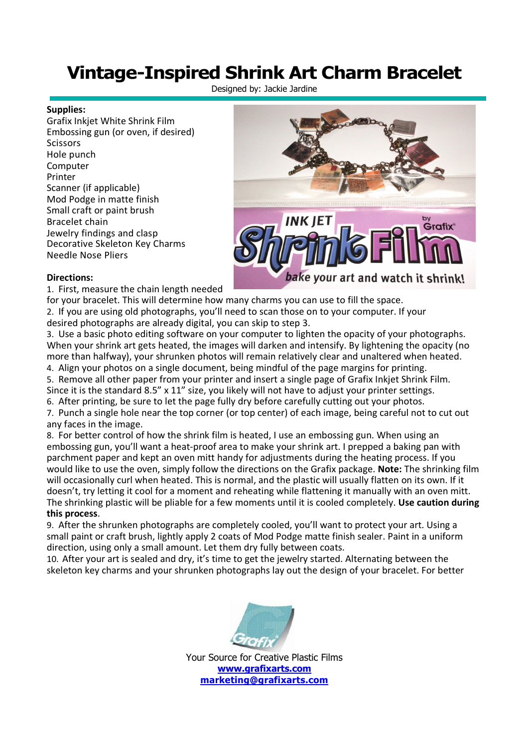## **Vintage-Inspired Shrink Art Charm Bracelet**

Designed by: Jackie Jardine

## **Supplies:**

Grafix Inkjet White Shrink Film Embossing gun (or oven, if desired) Scissors Hole punch Computer Printer Scanner (if applicable) Mod Podge in matte finish Small craft or paint brush Bracelet chain Jewelry findings and clasp Decorative Skeleton Key Charms Needle Nose Pliers



## **Directions:**

1. First, measure the chain length needed

for your bracelet. This will determine how many charms you can use to fill the space. 2. If you are using old photographs, you'll need to scan those on to your computer. If your desired photographs are already digital, you can skip to step 3.

3. Use a basic photo editing software on your computer to lighten the opacity of your photographs. When your shrink art gets heated, the images will darken and intensify. By lightening the opacity (no more than halfway), your shrunken photos will remain relatively clear and unaltered when heated.

4. Align your photos on a single document, being mindful of the page margins for printing. 5. Remove all other paper from your printer and insert a single page of Grafix Inkjet Shrink Film. Since it is the standard 8.5" x 11" size, you likely will not have to adjust your printer settings.

6. After printing, be sure to let the page fully dry before carefully cutting out your photos.

7. Punch a single hole near the top corner (or top center) of each image, being careful not to cut out any faces in the image.

8. For better control of how the shrink film is heated, I use an embossing gun. When using an embossing gun, you'll want a heat-proof area to make your shrink art. I prepped a baking pan with parchment paper and kept an oven mitt handy for adjustments during the heating process. If you would like to use the oven, simply follow the directions on the Grafix package. **Note:** The shrinking film will occasionally curl when heated. This is normal, and the plastic will usually flatten on its own. If it doesn't, try letting it cool for a moment and reheating while flattening it manually with an oven mitt. The shrinking plastic will be pliable for a few moments until it is cooled completely. **Use caution during this process**.

9. After the shrunken photographs are completely cooled, you'll want to protect your art. Using a small paint or craft brush, lightly apply 2 coats of Mod Podge matte finish sealer. Paint in a uniform direction, using only a small amount. Let them dry fully between coats.

10. After your art is sealed and dry, it's time to get the jewelry started. Alternating between the skeleton key charms and your shrunken photographs lay out the design of your bracelet. For better



Your Source for Creative Plastic Films **www.grafixarts.com marketing@grafixarts.com**